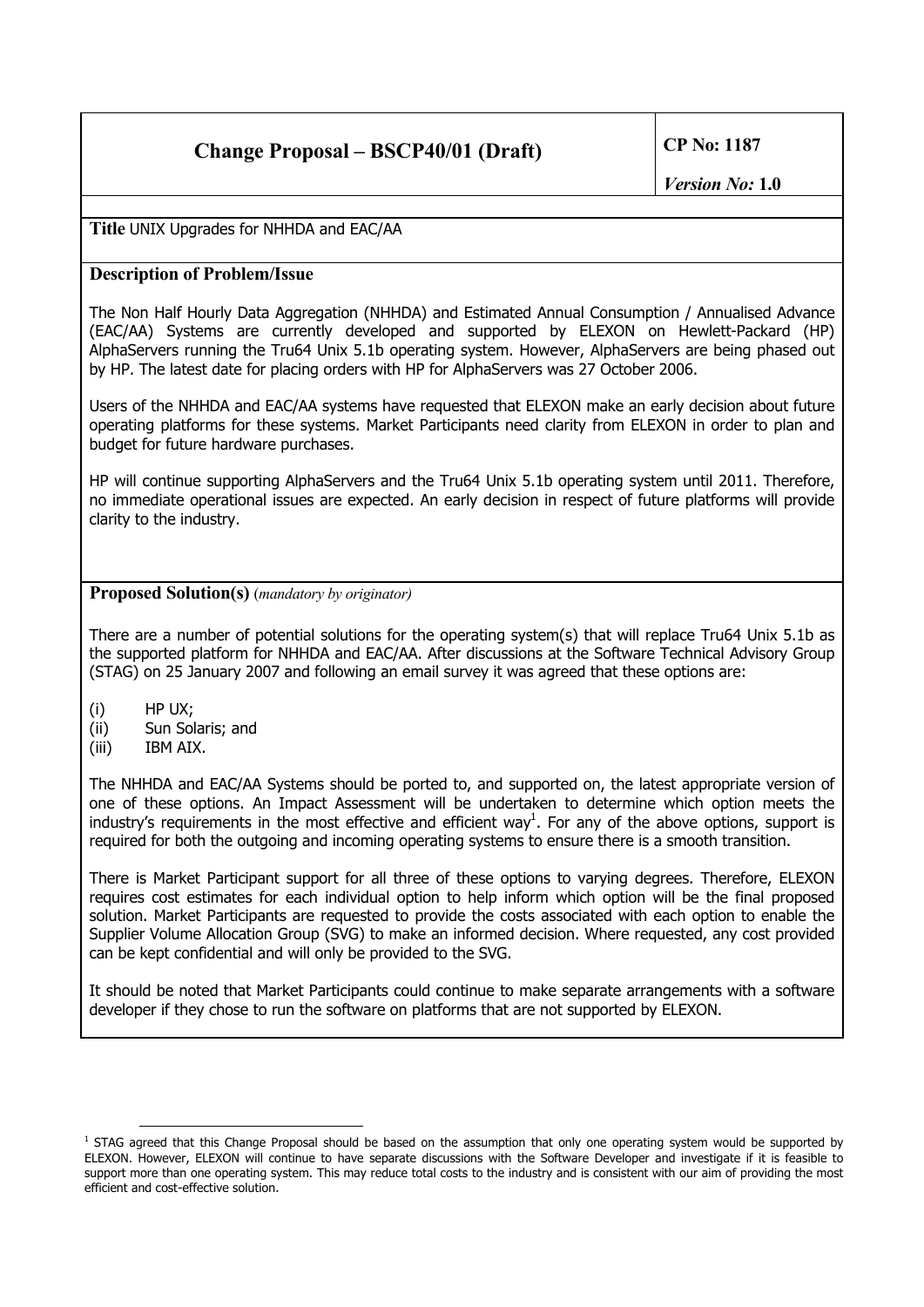# **Change Proposal – BSCP40/01 (Draft) CP No: 1187**

**Title** UNIX Upgrades for NHHDA and EAC/AA

#### **Description of Problem/Issue**

The Non Half Hourly Data Aggregation (NHHDA) and Estimated Annual Consumption / Annualised Advance (EAC/AA) Systems are currently developed and supported by ELEXON on Hewlett-Packard (HP) AlphaServers running the Tru64 Unix 5.1b operating system. However, AlphaServers are being phased out by HP. The latest date for placing orders with HP for AlphaServers was 27 October 2006.

Users of the NHHDA and EAC/AA systems have requested that ELEXON make an early decision about future operating platforms for these systems. Market Participants need clarity from ELEXON in order to plan and budget for future hardware purchases.

HP will continue supporting AlphaServers and the Tru64 Unix 5.1b operating system until 2011. Therefore, no immediate operational issues are expected. An early decision in respect of future platforms will provide clarity to the industry.

#### **Proposed Solution(s)** (*mandatory by originator)*

There are a number of potential solutions for the operating system(s) that will replace Tru64 Unix 5.1b as the supported platform for NHHDA and EAC/AA. After discussions at the Software Technical Advisory Group (STAG) on 25 January 2007 and following an email survey it was agreed that these options are:

- (i) HP UX;
- (ii) Sun Solaris; and
- (iii) IBM AIX.

The NHHDA and EAC/AA Systems should be ported to, and supported on, the latest appropriate version of one of these options. An Impact Assessment will be undertaken to determine which option meets the industry's requirements in the most effective and efficient way<sup>1</sup>[.](#page-0-0) For any of the above options, support is required for both the outgoing and incoming operating systems to ensure there is a smooth transition.

There is Market Participant support for all three of these options to varying degrees. Therefore, ELEXON requires cost estimates for each individual option to help inform which option will be the final proposed solution. Market Participants are requested to provide the costs associated with each option to enable the Supplier Volume Allocation Group (SVG) to make an informed decision. Where requested, any cost provided can be kept confidential and will only be provided to the SVG.

It should be noted that Market Participants could continue to make separate arrangements with a software developer if they chose to run the software on platforms that are not supported by ELEXON.

<span id="page-0-0"></span><sup>&</sup>lt;sup>1</sup> STAG agreed that this Change Proposal should be based on the assumption that only one operating system would be supported by ELEXON. However, ELEXON will continue to have separate discussions with the Software Developer and investigate if it is feasible to support more than one operating system. This may reduce total costs to the industry and is consistent with our aim of providing the most efficient and cost-effective solution.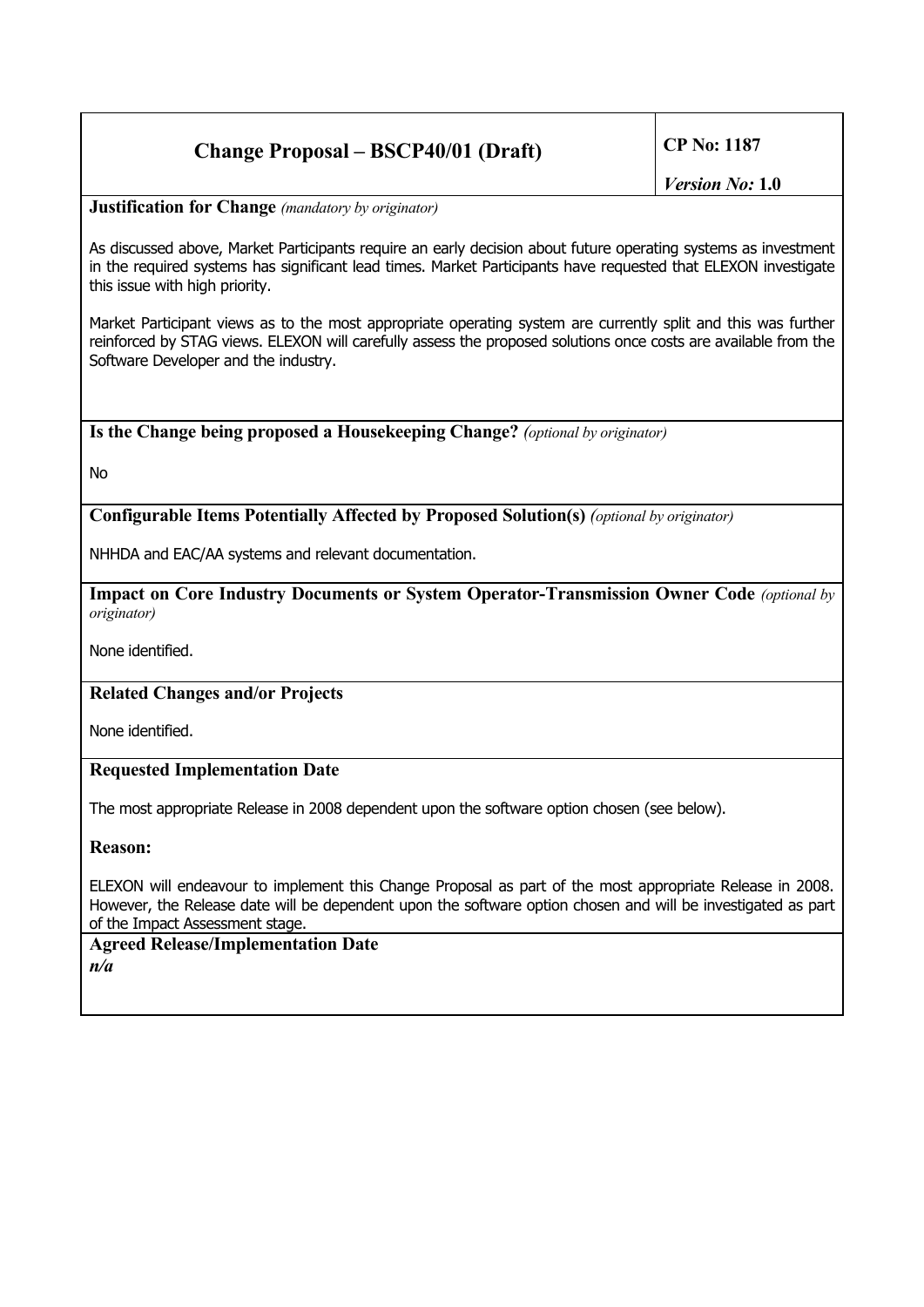## **Change Proposal – BSCP40/01 (Draft) CP No: 1187**

*Version No:* **1.0**

**Justification for Change** *(mandatory by originator)*

As discussed above, Market Participants require an early decision about future operating systems as investment in the required systems has significant lead times. Market Participants have requested that ELEXON investigate this issue with high priority.

Market Participant views as to the most appropriate operating system are currently split and this was further reinforced by STAG views. ELEXON will carefully assess the proposed solutions once costs are available from the Software Developer and the industry.

#### **Is the Change being proposed a Housekeeping Change?** *(optional by originator)*

No

#### **Configurable Items Potentially Affected by Proposed Solution(s)** *(optional by originator)*

NHHDA and EAC/AA systems and relevant documentation.

**Impact on Core Industry Documents or System Operator-Transmission Owner Code** *(optional by originator)*

None identified.

#### **Related Changes and/or Projects**

None identified.

#### **Requested Implementation Date**

The most appropriate Release in 2008 dependent upon the software option chosen (see below).

**Reason:**

ELEXON will endeavour to implement this Change Proposal as part of the most appropriate Release in 2008. However, the Release date will be dependent upon the software option chosen and will be investigated as part of the Impact Assessment stage.

### **Agreed Release/Implementation Date** *n/a*